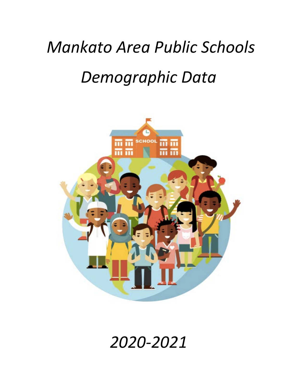# *Mankato Area Public Schools Demographic Data*



# *2020-2021*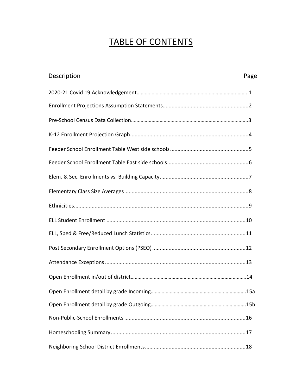## TABLE OF CONTENTS

| <b>Description</b> | Page |
|--------------------|------|
|                    |      |
|                    |      |
|                    |      |
|                    |      |
|                    |      |
|                    |      |
|                    |      |
|                    |      |
|                    |      |
|                    |      |
|                    |      |
|                    |      |
|                    |      |
|                    |      |
|                    | .15a |
|                    |      |
|                    |      |
|                    |      |
|                    |      |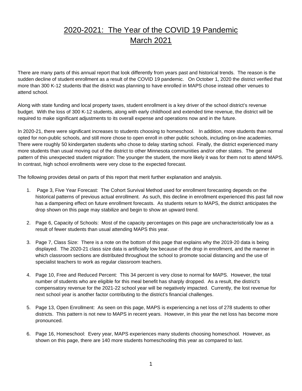## 2020-2021: The Year of the COVID 19 Pandemic March 2021

There are many parts of this annual report that look differently from years past and historical trends. The reason is the sudden decline of student enrollment as a result of the COVID 19 pandemic. On October 1, 2020 the district verified that more than 300 K-12 students that the district was planning to have enrolled in MAPS chose instead other venues to attend school.

Along with state funding and local property taxes, student enrollment is a key driver of the school district's revenue budget. With the loss of 300 K-12 students, along with early childhood and extended time revenue, the district will be required to make significant adjustments to its overall expense and operations now and in the future.

In 2020-21, there were significant increases to students choosing to homeschool. In addition, more students than normal opted for non-public schools, and still more chose to open enroll in other public schools, including on-line academies. There were roughly 50 kindergarten students who chose to delay starting school. Finally, the district experienced many more students than usual moving out of the district to other Minnesota communities and/or other states. The general pattern of this unexpected student migration: The younger the student, the more likely it was for them not to attend MAPS. In contrast, high school enrollments were very close to the expected forecast.

The following provides detail on parts of this report that merit further explanation and analysis.

- 1. Page 3, Five Year Forecast: The Cohort Survival Method used for enrollment forecasting depends on the historical patterns of previous actual enrollment. As such, this decline in enrollment experienced this past fall now has a dampening effect on future enrollment forecasts. As students return to MAPS, the district anticipates the drop shown on this page may stabilize and begin to show an upward trend.
- 2. Page 6, Capacity of Schools: Most of the capacity percentages on this page are uncharacteristically low as a result of fewer students than usual attending MAPS this year.
- 3. Page 7, Class Size: There is a note on the bottom of this page that explains why the 2019-20 data is being displayed. The 2020-21 class size data is artificially low because of the drop in enrollment, and the manner in which classroom sections are distributed throughout the school to promote social distancing and the use of specialist teachers to work as regular classroom teachers.
- 4. Page 10, Free and Reduced Percent: This 34 percent is very close to normal for MAPS. However, the total number of students who are eligible for this meal benefit has sharply dropped. As a result, the district's compensatory revenue for the 2021-22 school year will be negatively impacted. Currently, the lost revenue for next school year is another factor contributing to the district's financial challenges.
- 5. Page 13, Open Enrollment: As seen on this page, MAPS is experiencing a net loss of 278 students to other districts. This pattern is not new to MAPS in recent years. However, in this year the net loss has become more pronounced.
- 6. Page 16, Homeschool: Every year, MAPS experiences many students choosing homeschool. However, as shown on this page, there are 140 more students homeschooling this year as compared to last.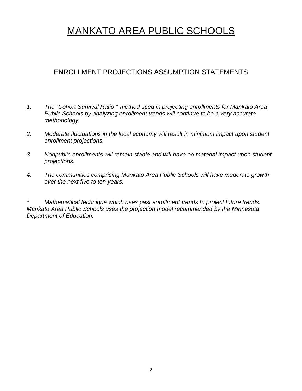## MANKATO AREA PUBLIC SCHOOLS

#### ENROLLMENT PROJECTIONS ASSUMPTION STATEMENTS

- *1. The "Cohort Survival Ratio"\* method used in projecting enrollments for Mankato Area Public Schools by analyzing enrollment trends will continue to be a very accurate methodology.*
- *2. Moderate fluctuations in the local economy will result in minimum impact upon student enrollment projections.*
- *3. Nonpublic enrollments will remain stable and will have no material impact upon student projections.*
- *4. The communities comprising Mankato Area Public Schools will have moderate growth over the next five to ten years.*

*\* Mathematical technique which uses past enrollment trends to project future trends. Mankato Area Public Schools uses the projection model recommended by the Minnesota Department of Education.*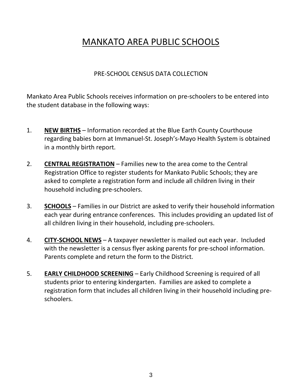## MANKATO AREA PUBLIC SCHOOLS

#### PRE-SCHOOL CENSUS DATA COLLECTION

Mankato Area Public Schools receives information on pre-schoolers to be entered into the student database in the following ways:

- 1. **NEW BIRTHS** Information recorded at the Blue Earth County Courthouse regarding babies born at Immanuel-St. Joseph's-Mayo Health System is obtained in a monthly birth report.
- 2. **CENTRAL REGISTRATION** Families new to the area come to the Central Registration Office to register students for Mankato Public Schools; they are asked to complete a registration form and include all children living in their household including pre-schoolers.
- 3. **SCHOOLS** Families in our District are asked to verify their household information each year during entrance conferences. This includes providing an updated list of all children living in their household, including pre-schoolers.
- 4. **CITY-SCHOOL NEWS** A taxpayer newsletter is mailed out each year. Included with the newsletter is a census flyer asking parents for pre-school information. Parents complete and return the form to the District.
- 5. **EARLY CHILDHOOD SCREENING** Early Childhood Screening is required of all students prior to entering kindergarten. Families are asked to complete a registration form that includes all children living in their household including preschoolers.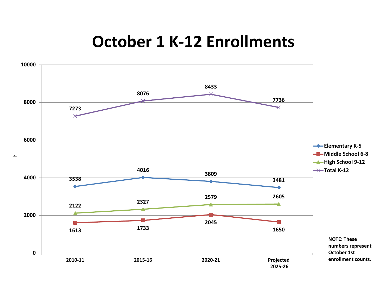# **October 1 K-12 Enrollments**

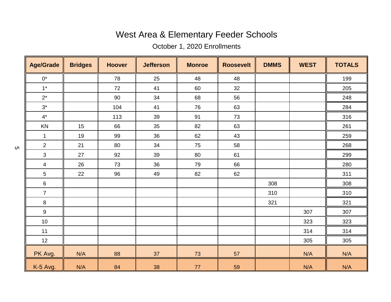# West Area & Elementary Feeder Schools

October 1, 2020 Enrollments

| <b>Age/Grade</b>          | <b>Bridges</b> | <b>Hoover</b> | <b>Jefferson</b> | <b>Monroe</b> | <b>Roosevelt</b> | <b>DMMS</b> | <b>WEST</b> | <b>TOTALS</b> |
|---------------------------|----------------|---------------|------------------|---------------|------------------|-------------|-------------|---------------|
| $0^\star$                 |                | 78            | 25               | 48            | 48               |             |             | 199           |
| $1^*$                     |                | 72            | 41               | 60            | 32               |             |             | 205           |
| $2^*$                     |                | 90            | 34               | 68            | 56               |             |             | 248           |
| $3^*$                     |                | 104           | 41               | 76            | 63               |             |             | 284           |
| $4^{\star}$               |                | 113           | 39               | 91            | 73               |             |             | 316           |
| KN                        | 15             | 66            | 35               | 82            | 63               |             |             | 261           |
| $\mathbf{1}$              | 19             | 99            | 36               | 62            | 43               |             |             | 259           |
| $\overline{2}$            | 21             | 80            | 34               | 75            | 58               |             |             | 268           |
| $\ensuremath{\mathsf{3}}$ | 27             | 92            | 39               | 80            | 61               |             |             | 299           |
| 4                         | 26             | 73            | 36               | 79            | 66               |             |             | 280           |
| 5                         | 22             | 96            | 49               | 82            | 62               |             |             | 311           |
| $\,6\,$                   |                |               |                  |               |                  | 308         |             | 308           |
| $\overline{7}$            |                |               |                  |               |                  | 310         |             | 310           |
| $\,8\,$                   |                |               |                  |               |                  | 321         |             | 321           |
| $\boldsymbol{9}$          |                |               |                  |               |                  |             | 307         | 307           |
| $10$                      |                |               |                  |               |                  |             | 323         | 323           |
| 11                        |                |               |                  |               |                  |             | 314         | 314           |
| $12 \overline{ }$         |                |               |                  |               |                  |             | 305         | 305           |
| PK Avg.                   | N/A            | 88            | 37               | 73            | 57               |             | N/A         | N/A           |
| K-5 Avg.                  | N/A            | 84            | 38               | $77$          | 59               |             | N/A         | N/A           |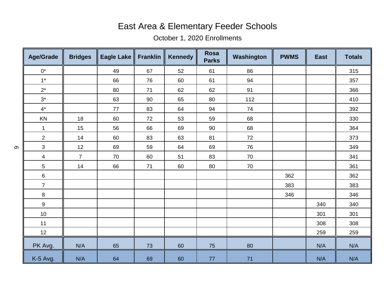## East Area & Elementary Feeder Schools

### October 1, 2020 Enrollments

| <b>Age/Grade</b> | <b>Bridges</b> | <b>Eagle Lake</b> | <b>Franklin</b> | <b>Kennedy</b> | <b>Rosa</b><br><b>Parks</b> | Washington | <b>PWMS</b> | <b>East</b> | <b>Totals</b> |
|------------------|----------------|-------------------|-----------------|----------------|-----------------------------|------------|-------------|-------------|---------------|
| $0^*$            |                | 49                | 67              | 52             | 61                          | 86         |             |             | 315           |
| $1^*$            |                | 66                | 76              | 60             | 61                          | 94         |             |             | 357           |
| $2^*$            |                | 80                | 71              | 62             | 62                          | 91         |             |             | 366           |
| $3^*$            |                | 63                | 90              | 65             | 80                          | 112        |             |             | 410           |
| $4^{\star}$      |                | 77                | 83              | 64             | 94                          | 74         |             |             | 392           |
| $\mathsf{KN}$    | 18             | 60                | 72              | 53             | 59                          | 68         |             |             | 330           |
| $\mathbf 1$      | 15             | 56                | 66              | 69             | 90                          | 68         |             |             | 364           |
| $\overline{2}$   | 14             | 60                | 83              | 63             | 81                          | 72         |             |             | 373           |
| $\mathfrak{S}$   | 12             | 69                | 59              | 64             | 69                          | 76         |             |             | 349           |
| $\overline{4}$   | $\overline{7}$ | 70                | 60              | 51             | 83                          | 70         |             |             | 341           |
| $\overline{5}$   | 14             | 66                | 71              | 60             | 80                          | $70\,$     |             |             | 361           |
| $\,6\,$          |                |                   |                 |                |                             |            | 362         |             | 362           |
| $\overline{7}$   |                |                   |                 |                |                             |            | 383         |             | 383           |
| $\bf 8$          |                |                   |                 |                |                             |            | 346         |             | 346           |
| $\boldsymbol{9}$ |                |                   |                 |                |                             |            |             | 340         | 340           |
| $10$             |                |                   |                 |                |                             |            |             | 301         | 301           |
| 11               |                |                   |                 |                |                             |            |             | 308         | 308           |
| 12               |                |                   |                 |                |                             |            |             | 259         | 259           |
| PK Avg.          | N/A            | 65                | 73              | 60             | 75                          | 80         |             | N/A         | N/A           |
| K-5 Avg.         | N/A            | 64                | 69              | 60             | 77                          | 71         |             | N/A         | N/A           |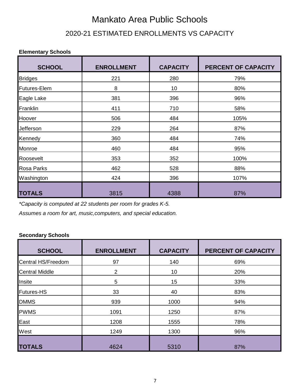# Mankato Area Public Schools 2020-21 ESTIMATED ENROLLMENTS VS CAPACITY

#### **Elementary Schools**

| <b>SCHOOL</b>     | <b>ENROLLMENT</b> | <b>CAPACITY</b> | PERCENT OF CAPACITY |
|-------------------|-------------------|-----------------|---------------------|
| <b>Bridges</b>    | 221               | 280             | 79%                 |
| Futures-Elem      | 8                 | 10              | 80%                 |
| Eagle Lake        | 381               | 396             | 96%                 |
| Franklin          | 411               | 710             | 58%                 |
| Hoover            | 506               | 484             | 105%                |
| Jefferson         | 229               | 264             | 87%                 |
| Kennedy           | 360               | 484             | 74%                 |
| Monroe            | 460               | 484             | 95%                 |
| Roosevelt         | 353               | 352             | 100%                |
| <b>Rosa Parks</b> | 462               | 528             | 88%                 |
| Washington        | 424               | 396             | 107%                |
| <b>TOTALS</b>     | 3815              | 4388            | 87%                 |

*\*Capacity is computed at 22 students per room for grades K-5.*

*Assumes a room for art, music,computers, and special education.*

#### **Secondary Schools**

| <b>SCHOOL</b>         | <b>ENROLLMENT</b> | <b>CAPACITY</b> | PERCENT OF CAPACITY |
|-----------------------|-------------------|-----------------|---------------------|
| Central HS/Freedom    | 97                | 140             | 69%                 |
| <b>Central Middle</b> | $\overline{2}$    | 10              | 20%                 |
| Insite                | 5                 | 15              | 33%                 |
| <b>Futures-HS</b>     | 33                | 40              | 83%                 |
| <b>DMMS</b>           | 939               | 1000            | 94%                 |
| <b>PWMS</b>           | 1091              | 1250            | 87%                 |
| East                  | 1208              | 1555            | 78%                 |
| West                  | 1249              | 1300            | 96%                 |
| <b>TOTALS</b>         | 4624              | 5310            | 87%                 |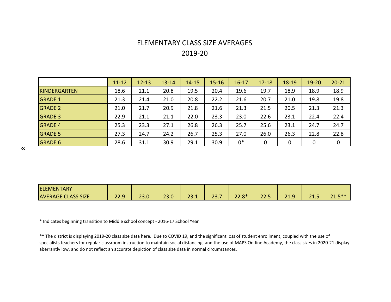### ELEMENTARY CLASS SIZE AVERAGES 2019-20

|                | $11 - 12$ | $12 - 13$ | $13 - 14$ | $14 - 15$ | $15 - 16$ | $16 - 17$ | $17 - 18$ | $18 - 19$ | $19 - 20$   | $20 - 21$ |
|----------------|-----------|-----------|-----------|-----------|-----------|-----------|-----------|-----------|-------------|-----------|
| KINDERGARTEN   | 18.6      | 21.1      | 20.8      | 19.5      | 20.4      | 19.6      | 19.7      | 18.9      | 18.9        | 18.9      |
| <b>GRADE 1</b> | 21.3      | 21.4      | 21.0      | 20.8      | 22.2      | 21.6      | 20.7      | 21.0      | 19.8        | 19.8      |
| <b>GRADE 2</b> | 21.0      | 21.7      | 20.9      | 21.8      | 21.6      | 21.3      | 21.5      | 20.5      | 21.3        | 21.3      |
| <b>GRADE 3</b> | 22.9      | 21.1      | 21.1      | 22.0      | 23.3      | 23.0      | 22.6      | 23.1      | 22.4        | 22.4      |
| <b>GRADE 4</b> | 25.3      | 23.3      | 27.1      | 26.8      | 26.3      | 25.7      | 25.6      | 23.1      | 24.7        | 24.7      |
| <b>GRADE 5</b> | 27.3      | 24.7      | 24.2      | 26.7      | 25.3      | 27.0      | 26.0      | 26.3      | 22.8        | 22.8      |
| <b>GRADE 6</b> | 28.6      | 31.1      | 30.9      | 29.1      | 30.9      | $0*$      | 0         | 0         | $\mathbf 0$ | 0         |

| <b>ELEMENTARY</b>         |             |            |                                |                |              |             |               |                              |                       |                         |
|---------------------------|-------------|------------|--------------------------------|----------------|--------------|-------------|---------------|------------------------------|-----------------------|-------------------------|
| <b>AVERAGE CLASS SIZE</b> | 229<br>LL.J | າາ<br>23.0 | $\mathbf{a}$<br>$\sim$<br>23.U | $\sim$<br>23.I | ד רר<br>25.7 | 220<br>22.0 | $\sim$<br>د ب | 24<br>-<br>$\bullet$<br>د.⊥ت | $\mathbf{A}$<br>ر. 15 | $-***$<br>$\sim$ $\sim$ |

\* Indicates beginning transition to Middle school concept - 2016-17 School Year

\*\* The district is displaying 2019-20 class size data here. Due to COVID 19, and the significant loss of student enrollment, coupled with the use of specialists teachers for regular classroom instruction to maintain social distancing, and the use of MAPS On-line Academy, the class sizes in 2020-21 display aberrantly low, and do not reflect an accurate depiction of class size data in normal circumstances.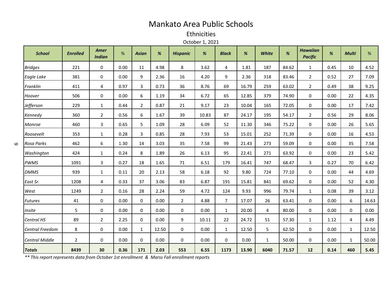### Mankato Area Public Schools

Ethnicities

October 1, 2021

| <b>School</b>          | <b>Enrolled</b> | Amer<br><b>Indian</b> | %    | <b>Asian</b>          | %     | <b>Hispanic</b> | %     | <b>Black</b> | %     | White        | %     | <b>Hawaiian</b><br><b>Pacific</b> | %    | <b>Multi</b> | %     |
|------------------------|-----------------|-----------------------|------|-----------------------|-------|-----------------|-------|--------------|-------|--------------|-------|-----------------------------------|------|--------------|-------|
| <b>Bridges</b>         | 221             | $\mathbf 0$           | 0.00 | 11                    | 4.98  | 8               | 3.62  | 4            | 1.81  | 187          | 84.62 | $\mathbf{1}$                      | 0.45 | 10           | 4.52  |
| Eagle Lake             | 381             | $\mathbf 0$           | 0.00 | 9                     | 2.36  | 16              | 4.20  | 9            | 2.36  | 318          | 83.46 | $\overline{2}$                    | 0.52 | 27           | 7.09  |
| Franklin               | 411             | 4                     | 0.97 | 3                     | 0.73  | 36              | 8.76  | 69           | 16.79 | 259          | 63.02 | $\overline{2}$                    | 0.49 | 38           | 9.25  |
| Hoover                 | 506             | 0                     | 0.00 | 6                     | 1.19  | 34              | 6.72  | 65           | 12.85 | 379          | 74.90 | 0                                 | 0.00 | 22           | 4.35  |
| Jefferson              | 229             | $\mathbf{1}$          | 0.44 | $\mathbf{2}^{\prime}$ | 0.87  | 21              | 9.17  | 23           | 10.04 | 165          | 72.05 | 0                                 | 0.00 | 17           | 7.42  |
| Kennedy                | 360             | $\overline{2}$        | 0.56 | 6                     | 1.67  | 39              | 10.83 | 87           | 24.17 | 195          | 54.17 | $\overline{2}$                    | 0.56 | 29           | 8.06  |
| Monroe                 | 460             | 3                     | 0.65 | 5                     | 1.09  | 28              | 6.09  | 52           | 11.30 | 346          | 75.22 | 0                                 | 0.00 | 26           | 5.65  |
| Roosevelt              | 353             | $\mathbf{1}$          | 0.28 | 3                     | 0.85  | 28              | 7.93  | 53           | 15.01 | 252          | 71.39 | 0                                 | 0.00 | 16           | 4.53  |
| Rosa Parks             | 462             | 6                     | 1.30 | 14                    | 3.03  | 35              | 7.58  | 99           | 21.43 | 273          | 59.09 | 0                                 | 0.00 | 35           | 7.58  |
| Washington             | 424             | $\mathbf{1}$          | 0.24 | 8                     | 1.89  | 26              | 6.13  | 95           | 22.41 | 271          | 63.92 | $\mathbf 0$                       | 0.00 | 23           | 5.42  |
| <b>PWMS</b>            | 1091            | $\mathsf{3}$          | 0.27 | 18                    | 1.65  | 71              | 6.51  | 179          | 16.41 | 747          | 68.47 | 3                                 | 0.27 | 70           | 6.42  |
| <b>DMMS</b>            | 939             | $\mathbf{1}$          | 0.11 | 20                    | 2.13  | 58              | 6.18  | 92           | 9.80  | 724          | 77.10 | 0                                 | 0.00 | 44           | 4.69  |
| East Sr.               | 1208            | $\overline{4}$        | 0.33 | 37                    | 3.06  | 83              | 6.87  | 191          | 15.81 | 841          | 69.62 | $\mathbf 0$                       | 0.00 | 52           | 4.30  |
| West                   | 1249            | $\overline{2}$        | 0.16 | 28                    | 2.24  | 59              | 4.72  | 124          | 9.93  | 996          | 79.74 | $\mathbf{1}$                      | 0.08 | 39           | 3.12  |
| <b>Futures</b>         | 41              | $\mathbf 0$           | 0.00 | 0                     | 0.00  | $\overline{2}$  | 4.88  | $7^{\circ}$  | 17.07 | 26           | 63.41 | 0                                 | 0.00 | 6            | 14.63 |
| Insite                 | 5               | 0                     | 0.00 | 0                     | 0.00  | 0               | 0.00  | $\mathbf{1}$ | 20.00 | 4            | 80.00 | 0                                 | 0.00 | 0            | 0.00  |
| Central HS             | 89              | $\overline{2}$        | 2.25 | 0                     | 0.00  | 9               | 10.11 | 22           | 24.72 | 51           | 57.30 | $\mathbf{1}$                      | 1.12 | 4            | 4.49  |
| <b>Central Freedom</b> | 8               | $\mathbf 0$           | 0.00 | $\mathbf{1}$          | 12.50 | 0               | 0.00  | $\mathbf{1}$ | 12.50 | 5            | 62.50 | $\mathbf 0$                       | 0.00 | $\mathbf{1}$ | 12.50 |
| <b>Central Middle</b>  | $\overline{2}$  | $\mathbf 0$           | 0.00 | 0                     | 0.00  | 0               | 0.00  | 0            | 0.00  | $\mathbf{1}$ | 50.00 | 0                                 | 0.00 | $\mathbf{1}$ | 50.00 |
| <b>Totals</b>          | 8439            | 30                    | 0.36 | 171                   | 2.03  | 553             | 6.55  | 1173         | 13.90 | 6040         | 71.57 | 12                                | 0.14 | 460          | 5.45  |

*\*\* This report represents data from October 1st enrollment & Marss Fall enrollment reports*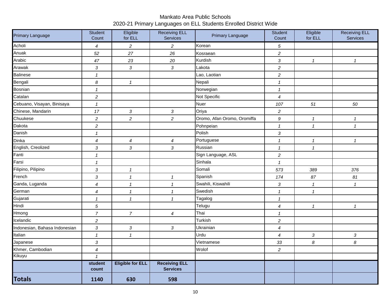#### Mankato Area Public Schools 2020-21 Primary Languages on ELL Students Enrolled District Wide

| Primary Language              | Student<br>Count           | Eligible<br>for ELL        | <b>Receiving ELL</b><br>Services        | Primary Language            | Student<br>Count           | Eligible<br>for ELL       | <b>Receiving ELL</b><br>Services |
|-------------------------------|----------------------------|----------------------------|-----------------------------------------|-----------------------------|----------------------------|---------------------------|----------------------------------|
| Acholi                        | 4                          | $\overline{c}$             | $\overline{c}$                          | Korean                      | 5                          |                           |                                  |
| Anuak                         | 52                         | 27                         | 26                                      | Kosraean                    | $\overline{c}$             |                           |                                  |
| Arabic                        | 47                         | 23                         | $2\mathit{0}$                           | Kurdish                     | $\sqrt{3}$                 | $\mathbf{1}$              | $\mathbf{1}$                     |
| Arawak                        | $\sqrt{3}$                 | 3                          | $\mathfrak{Z}$                          | Lakota                      | $\overline{c}$             |                           |                                  |
| <b>Balinese</b>               | $\mathbf{1}$               |                            |                                         | Lao, Laotian                | $\overline{c}$             |                           |                                  |
| Bengali                       | $\boldsymbol{8}$           | $\mathbf{1}$               |                                         | Nepali                      | $\boldsymbol{\mathcal{I}}$ |                           |                                  |
| Bosnian                       | $\boldsymbol{\mathcal{L}}$ |                            |                                         | Norwegian                   | $\boldsymbol{\mathcal{I}}$ |                           |                                  |
| Catalan                       | $\sqrt{2}$                 |                            |                                         | Not Specific                | $\boldsymbol{4}$           |                           |                                  |
| Cebuano, Visayan, Binisaya    | $\mathbf{1}$               |                            |                                         | <b>Nuer</b>                 | 107                        | 51                        | 50                               |
| Chinese, Mandarin             | 17                         | $\sqrt{3}$                 | $\sqrt{3}$                              | Oriya                       | $\overline{c}$             |                           |                                  |
| Chuukese                      | $\sqrt{2}$                 | $\overline{c}$             | $\overline{c}$                          | Oromo, Afan Oromo, Oromiffa | $\boldsymbol{9}$           | $\boldsymbol{\mathit{1}}$ | 1                                |
| Dakota                        | $\sqrt{2}$                 |                            |                                         | Pohnpeian                   | $\mathbf{1}$               | $\mathbf{1}$              | $\mathbf{1}$                     |
| Danish                        | $\boldsymbol{\mathcal{I}}$ |                            |                                         | Polish                      | $\sqrt{3}$                 |                           |                                  |
| Dinka                         | $\boldsymbol{4}$           | $\overline{\mathcal{A}}$   | $\overline{4}$                          | Portuguese                  | $\mathbf{1}$               | $\mathbf{1}$              | $\mathbf{1}$                     |
| English, Creolized            | $\sqrt{3}$                 | 3                          | $\sqrt{3}$                              | Russian                     | $\boldsymbol{\mathcal{I}}$ | $\mathbf{1}$              |                                  |
| Fanti                         | $\mathbf{1}$               |                            |                                         | Sign Language, ASL          | $\overline{c}$             |                           |                                  |
| Farsi                         | $\boldsymbol{\mathcal{L}}$ |                            |                                         | Sinhala                     | $\mathbf{1}$               |                           |                                  |
| Filipino, Pilipino            | $\sqrt{3}$                 | $\mathbf{1}$               |                                         | Somali                      | 573                        | 389                       | 376                              |
| French                        | $\sqrt{3}$                 | $\mathbf{1}$               | $\mathcal I$                            | Spanish                     | 174                        | $87\,$                    | 81                               |
| Ganda, Luganda                | $\boldsymbol{4}$           | $\boldsymbol{\mathcal{L}}$ | $\mathbf{1}$                            | Swahili, Kiswahili          | $\sqrt{3}$                 | $\mathbf{1}$              | $\mathbf{1}$                     |
| German                        | 4                          | $\mathbf{1}$               | $\mathbf{1}$                            | Swedish                     | $\boldsymbol{\mathcal{I}}$ | $\mathbf{1}$              |                                  |
| Gujarati                      | $\mathbf{1}$               | $\mathbf{1}$               | $\mathcal I$                            | Tagalog                     | $\mathcal I$               |                           |                                  |
| Hindi                         | $\sqrt{5}$                 |                            |                                         | Telugu                      | $\boldsymbol{4}$           | $\mathbf{1}$              | $\mathcal I$                     |
| Hmong                         | $\overline{7}$             | $\overline{7}$             | $\boldsymbol{4}$                        | Thai                        | $\mathcal I$               |                           |                                  |
| Icelandic                     | $\overline{c}$             |                            |                                         | Turkish                     | $\overline{c}$             |                           |                                  |
| Indonesian, Bahasa Indonesian | $\sqrt{3}$                 | 3                          | $\mathfrak{Z}$                          | Ukrainian                   | $\boldsymbol{4}$           |                           |                                  |
| Italian                       | $\boldsymbol{\mathcal{L}}$ | $\mathbf{1}$               |                                         | Urdu                        | $\overline{4}$             | $\mathfrak{Z}$            | 3                                |
| Japanese                      | $\sqrt{3}$                 |                            |                                         | Vietnamese                  | 33                         | 8                         | 8                                |
| Khmer, Cambodian              | $\boldsymbol{4}$           |                            |                                         | Wolof                       | $\overline{c}$             |                           |                                  |
| Kikuyu                        | $\mathbf{1}$               |                            |                                         |                             |                            |                           |                                  |
|                               | student<br>count           | <b>Eligible for ELL</b>    | <b>Receiving ELL</b><br><b>Services</b> |                             |                            |                           |                                  |
| <b>Totals</b>                 | 1140                       | 630                        | 598                                     |                             |                            |                           |                                  |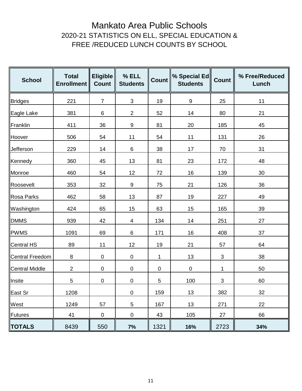### Mankato Area Public Schools 2020-21 STATISTICS ON ELL, SPECIAL EDUCATION & FREE /REDUCED LUNCH COUNTS BY SCHOOL

| <b>School</b>   | <b>Total</b><br><b>Enrollment</b> | <b>Eligible</b><br><b>Count</b> | % ELL<br><b>Students</b> | Count     | % Special Ed<br><b>Students</b> | <b>Count</b>              | % Free/Reduced<br>Lunch |
|-----------------|-----------------------------------|---------------------------------|--------------------------|-----------|---------------------------------|---------------------------|-------------------------|
| Bridges         | 221                               | $\overline{7}$                  | $\mathfrak{S}$           | 19        | $\boldsymbol{9}$                | 25                        | 11                      |
| Eagle Lake      | 381                               | 6                               | $\overline{c}$           | 52        | 14                              | 80                        | 21                      |
| Franklin        | 411                               | 36                              | 9                        | 81        | 20                              | 185                       | 45                      |
| Hoover          | 506                               | 54                              | 11                       | 54        | 11                              | 131                       | 26                      |
| Jefferson       | 229                               | 14                              | 6                        | 38        | 17                              | 70                        | 31                      |
| Kennedy         | 360                               | 45                              | 13                       | 81        | 23                              | 172                       | 48                      |
| Monroe          | 460                               | 54                              | 12                       | 72        | 16                              | 139                       | 30                      |
| Roosevelt       | 353                               | 32                              | $\boldsymbol{9}$         | 75        | 21                              | 126                       | 36                      |
| Rosa Parks      | 462                               | 58                              | 13                       | 87        | 19                              | 227                       | 49                      |
| Washington      | 424                               | 65                              | 15                       | 63        | 15                              | 165                       | 39                      |
| <b>DMMS</b>     | 939                               | 42                              | $\overline{\mathcal{A}}$ | 134       | 14                              | 251                       | 27                      |
| <b>PWMS</b>     | 1091                              | 69                              | 6                        | 171       | 16                              | 408                       | 37                      |
| Central HS      | 89                                | 11                              | 12                       | 19        | 21                              | 57                        | 64                      |
| Central Freedom | $\,8\,$                           | $\overline{0}$                  | $\pmb{0}$                | 1         | 13                              | $\sqrt{3}$                | 38                      |
| Central Middle  | $\sqrt{2}$                        | $\mathbf 0$                     | $\pmb{0}$                | $\pmb{0}$ | $\pmb{0}$                       | 1                         | 50                      |
| Insite          | 5                                 | $\pmb{0}$                       | $\pmb{0}$                | 5         | 100                             | $\ensuremath{\mathsf{3}}$ | 60                      |
| East Sr         | 1208                              |                                 | $\pmb{0}$                | 159       | 13                              | 382                       | 32                      |
| West            | 1249                              | 57                              | $\mathbf 5$              | 167       | 13                              | 271                       | 22                      |
| Futures         | 41                                | $\mathbf 0$                     | $\pmb{0}$                | 43        | 105                             | 27                        | 66                      |
| <b>TOTALS</b>   | 8439                              | 550                             | 7%                       | 1321      | 16%                             | 2723                      | 34%                     |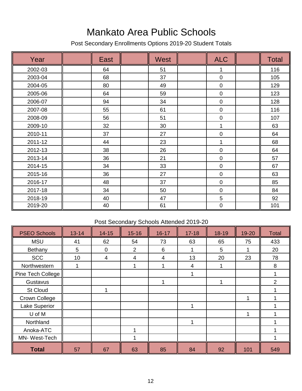## Mankato Area Public Schools

Post Secondary Enrollments Options 2019-20 Student Totals

| Year    | East | <b>West</b> | <b>ALC</b>  | <b>Total</b> |
|---------|------|-------------|-------------|--------------|
| 2002-03 | 64   | 51          | 1           | 116          |
| 2003-04 | 68   | 37          | $\mathbf 0$ | 105          |
| 2004-05 | 80   | 49          | $\pmb{0}$   | 129          |
| 2005-06 | 64   | 59          | $\pmb{0}$   | 123          |
| 2006-07 | 94   | 34          | $\pmb{0}$   | 128          |
| 2007-08 | 55   | 61          | $\pmb{0}$   | 116          |
| 2008-09 | 56   | 51          | 0           | 107          |
| 2009-10 | 32   | 30          | 1           | 63           |
| 2010-11 | 37   | 27          | 0           | 64           |
| 2011-12 | 44   | 23          | 1           | 68           |
| 2012-13 | 38   | 26          | $\pmb{0}$   | 64           |
| 2013-14 | 36   | 21          | $\mathbf 0$ | 57           |
| 2014-15 | 34   | 33          | $\pmb{0}$   | 67           |
| 2015-16 | 36   | 27          | $\pmb{0}$   | 63           |
| 2016-17 | 48   | 37          | $\pmb{0}$   | 85           |
| 2017-18 | 34   | 50          | 0           | 84           |
| 2018-19 | 40   | 47          | 5           | 92           |
| 2019-20 | 40   | 61          | 0           | 101          |

#### Post Secondary Schools Attended 2019-20

| <b>PSEO Schools</b> | $13 - 14$ | $14 - 15$   | $15 - 16$      | $16 - 17$ | $17 - 18$      | $18 - 19$ | 19-20 | <b>Total</b>   |
|---------------------|-----------|-------------|----------------|-----------|----------------|-----------|-------|----------------|
| <b>MSU</b>          | 41        | 62          | 54             | 73        | 63             | 65        | 75    | 433            |
| Bethany             | 5         | $\mathbf 0$ | $\overline{2}$ | 6         |                | 5         |       | 20             |
| <b>SCC</b>          | 10        | 4           | $\overline{4}$ | 4         | 13             | 20        | 23    | 78             |
| Northwestern        |           |             |                |           | $\overline{4}$ |           |       | $\,8\,$        |
| Pine Tech College   |           |             |                |           |                |           |       |                |
| Gustavus            |           |             |                | ◀         |                |           |       | $\overline{2}$ |
| <b>St Cloud</b>     |           | 1           |                |           |                |           |       |                |
| Crown College       |           |             |                |           |                |           |       |                |
| Lake Superior       |           |             |                |           |                |           |       |                |
| U of M              |           |             |                |           |                |           |       |                |
| Northland           |           |             |                |           |                |           |       |                |
| Anoka-ATC           |           |             | и              |           |                |           |       |                |
| MN-West-Tech        |           |             |                |           |                |           |       |                |
| <b>Total</b>        | 57        | 67          | 63             | 85        | 84             | 92        | 101   | 549            |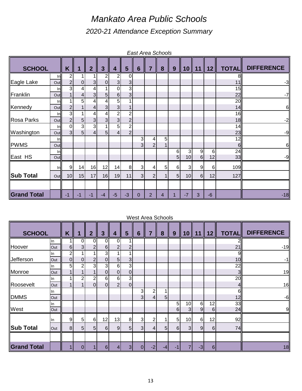## *Mankato Area Public Schools 2020-21 Attendance Exception Summary*

|                    |               |                                  |                                  |                     |                     |                                  |                                  |                     |                                           | <b>East Area Schools</b> |                     |                 |               |         |              |                   |
|--------------------|---------------|----------------------------------|----------------------------------|---------------------|---------------------|----------------------------------|----------------------------------|---------------------|-------------------------------------------|--------------------------|---------------------|-----------------|---------------|---------|--------------|-------------------|
| <b>SCHOOL</b>      |               | K                                | 1                                | $\overline{2}$      | $\overline{3}$      | 4                                | 5                                | $6\phantom{1}6$     | $\overline{7}$                            | 8                        | 9                   | 10              | 11            | 12      | <b>TOTAL</b> | <b>DIFFERENCE</b> |
| Eagle Lake         | Inll<br>Out   | $\overline{2}$<br>$\overline{2}$ | $\overline{0}$                   | 3                   | 2<br>$\overline{0}$ | 2<br>3 <sup>1</sup>              | 0<br>3                           |                     |                                           |                          |                     |                 |               |         | 8<br>11      | $-3$              |
| Franklin           | ln            | 3                                | $\overline{4}$                   | 4                   |                     | $\Omega$                         | 3                                |                     |                                           |                          |                     |                 |               |         | 15           |                   |
|                    | Out<br>Inl    |                                  | $\overline{4}$<br>5              | $\mathfrak{S}$<br>4 | 5<br>4              | $6 \,$<br>5                      | 3<br>1                           |                     |                                           |                          |                     |                 |               |         | 22<br>20     | $-7$              |
| Kennedy            | Out<br>Inl    | $\overline{2}$<br>$\mathbf{3}$   |                                  | 4<br>4              | 3<br>4              | 3<br>$\overline{2}$              | $\overline{c}$                   |                     |                                           |                          |                     |                 |               |         | 14<br>16     | 6                 |
| <b>Rosa Parks</b>  | Out           | $\mathbf{2}$                     | 5 <sub>l</sub>                   | 3                   | 3                   | $\overline{3}$                   | $\overline{\mathbf{c}}$          |                     |                                           |                          |                     |                 |               |         | 18           | $-2$              |
| Washington         | Inl<br>Out    | $\mathbf 0$<br>$\mathbf{3}$      | $\overline{3}$<br>5 <sup>1</sup> | 3<br>$\overline{4}$ | 5                   | 5 <sup>1</sup><br>$\overline{4}$ | $\overline{c}$<br>$\overline{2}$ |                     |                                           |                          |                     |                 |               |         | 14<br>23     | $-9$              |
| <b>PWMS</b>        | Inl<br>Out    |                                  |                                  |                     |                     |                                  |                                  | 3<br>3              | $\overline{\mathbf{4}}$<br>$\overline{2}$ | 5                        |                     |                 |               |         | 12<br>6      | $6 \,$            |
|                    | Inll          |                                  |                                  |                     |                     |                                  |                                  |                     |                                           |                          | 6                   | 3               | 9             | 6       | 24           |                   |
| East HS            | Out           |                                  |                                  |                     |                     |                                  |                                  |                     |                                           |                          | $5\overline{)}$     | 10 <sup>1</sup> | $6 \mid$      | 12      | 33           | $-9$              |
| <b>Sub Total</b>   | Inll<br>Outll | 9<br>10 <sup>1</sup>             | 14<br>15                         | 16<br>17            | 12<br>16            | 14<br>19                         | 8 <sup>1</sup><br>11             | 3<br>$\overline{3}$ | 4<br>$\overline{2}$                       | 5<br>1                   | 6<br>5 <sub>5</sub> | 3<br>10         | 9<br>$6 \mid$ | 6<br>12 | 109<br>127   |                   |
|                    |               |                                  |                                  |                     |                     |                                  |                                  |                     |                                           |                          |                     |                 |               |         |              |                   |
| <b>Grand Total</b> |               | $-1$                             | $-1$                             | $-1$                | $-4$                | $-5$                             | $-3$                             | $\mathbf 0$         | 2                                         | 4                        |                     | $-7$            | 3             | -6      |              | $-18$             |

#### West Area Schools

| <b>SCHOOL</b>      |     | K              | 1              | $\overline{2}$ | $\mathbf{3}$     | 4              | 5                       | $6\phantom{1}6$ | 7              | 8    | 9                | 10             | 11       | 12       | <b>TOTAL</b>   | <b>DIFFERENCE</b> |
|--------------------|-----|----------------|----------------|----------------|------------------|----------------|-------------------------|-----------------|----------------|------|------------------|----------------|----------|----------|----------------|-------------------|
|                    | In  |                | 0              | 0              | $\Omega$         | 0              |                         |                 |                |      |                  |                |          |          | 21             |                   |
| Hoover             | Out | 6              | 3 <sup>1</sup> | $\mathbf{2}$   | $6 \overline{6}$ | $\overline{2}$ | $\overline{\mathbf{c}}$ |                 |                |      |                  |                |          |          | 21             | $-19$             |
|                    | ln. | 2              |                |                | 3                |                |                         |                 |                |      |                  |                |          |          | $\overline{9}$ |                   |
| <b>Jefferson</b>   | Out | $\overline{0}$ | $\overline{0}$ | $\overline{2}$ | $\Omega$         | 5              | 3                       |                 |                |      |                  |                |          |          | 10             | -1                |
|                    | In  | 5              | 2              | 3              | 3                | 6              | 3                       |                 |                |      |                  |                |          |          | 22             |                   |
| Monroe             | Out |                |                | $\mathbf 1$    | $\overline{0}$   | $\Omega$       | 0                       |                 |                |      |                  |                |          |          | 3 <sub>l</sub> | 19                |
|                    | ln. |                | 2              | $\overline{2}$ | 6                | 6              | 3                       |                 |                |      |                  |                |          |          | 20             |                   |
| Roosevelt          | Out |                |                | $\Omega$       | $\Omega$         | $\overline{2}$ | $\pmb{0}$               |                 |                |      |                  |                |          |          | 41             | 16                |
|                    | In  |                |                |                |                  |                |                         | 3               | $\overline{c}$ |      |                  |                |          |          | 6I             |                   |
| <b>DMMS</b>        | Out |                |                |                |                  |                |                         | 3 <sub>l</sub>  | $\overline{4}$ | 5    |                  |                |          |          | 12             | $-6$              |
|                    | In  |                |                |                |                  |                |                         |                 |                |      | 5                | 10             | 6        | 12       | 33             |                   |
| West               | Out |                |                |                |                  |                |                         |                 |                |      | $6 \overline{6}$ | 3 <sup>1</sup> | 9        | 6        | 24             | 9                 |
|                    | In  | $\overline{9}$ | 5              | 6              | 12               | 13             | 8 <sup>1</sup>          | $\mathbf{3}$    | $\overline{2}$ |      | 5                | 10             | $6 \mid$ | 12       | 92             |                   |
| Sub Total          | Out | 8 <sup>1</sup> | 5 <sub>l</sub> | 5              | $6 \mid$         | 9              | 5 <sub>5</sub>          | 3               | $\overline{4}$ | 5    | $6 \overline{6}$ | 3              | 9        | 6        | 74             |                   |
|                    |     |                |                |                |                  |                |                         |                 |                |      |                  |                |          |          |                |                   |
| <b>Grand Total</b> |     |                | 0              |                | $6 \mid$         | $\overline{4}$ | 3 <sup>1</sup>          | $\Omega$        | $-2$           | $-4$ | -1               |                | $-3$     | $6 \mid$ |                | 18                |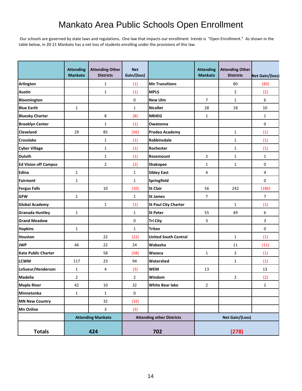## Mankato Area Public Schools Open Enrollment

 Our schools are governed by state laws and regulations. One law that impacts our enrollment trends is "Open Enrollment." As shown in the table below, in 20-21 Mankato has a net loss of students enrolling under the provisions of this law.

|                             | <b>Attending</b><br><b>Mankato</b> | <b>Attending Other</b><br><b>Districts</b> | <b>Net</b><br>Gain/(loss) |                                  | <b>Attending</b><br><b>Mankato</b> | <b>Attending Other</b><br><b>Districts</b> | Net Gain/(loss) |
|-----------------------------|------------------------------------|--------------------------------------------|---------------------------|----------------------------------|------------------------------------|--------------------------------------------|-----------------|
| <b>Arlington</b>            |                                    | 1                                          | (1)                       | <b>Mn Transitions</b>            |                                    | 80                                         | (80)            |
| <b>Austin</b>               |                                    | $\mathbf{1}$                               | (1)                       | <b>MPLS</b>                      |                                    | $\overline{2}$                             | (2)             |
| Bloomington                 |                                    |                                            | 0                         | <b>New Ulm</b>                   | $\overline{7}$                     | $\mathbf{1}$                               | 6               |
| <b>Blue Earth</b>           | $\mathbf{1}$                       |                                            | $\mathbf{1}$              | <b>Nicollet</b>                  | 28                                 | 18                                         | 10              |
| <b>Bluesky Charter</b>      |                                    | 8                                          | (8)                       | <b>NRHEG</b>                     | $\mathbf{1}$                       |                                            | $\mathbf{1}$    |
| <b>Brooklyn Center</b>      |                                    | $\mathbf{1}$                               | (1)                       | Owatonna                         |                                    |                                            | 0               |
| <b>Cleveland</b>            | 29                                 | 85                                         | (56)                      | <b>Prodeo Academy</b>            |                                    | $\mathbf{1}$                               | (1)             |
| <b>Crosslake</b>            |                                    | $\mathbf{1}$                               | (1)                       | Robbinsdale                      |                                    | $\mathbf{1}$                               | (1)             |
| <b>Cyber Village</b>        |                                    | $\mathbf{1}$                               | (1)                       | Rochester                        |                                    | $\mathbf{1}$                               | (1)             |
| <b>Duluth</b>               |                                    | $\mathbf{1}$                               | (1)                       | Rosemount                        | 2                                  | $\mathbf{1}$                               | $\mathbf{1}$    |
| <b>Ed Vision off Campus</b> |                                    | $\overline{2}$                             | (2)                       | <b>Shakopee</b>                  | $\mathbf{1}$                       | $\mathbf{1}$                               | 0               |
| Edina                       | $\mathbf{1}$                       |                                            | $\mathbf{1}$              | <b>Sibley East</b>               | 4                                  |                                            | 4               |
| <b>Fairmont</b>             | $\mathbf{1}$                       |                                            | $\mathbf{1}$              | Springfield                      |                                    |                                            | $\mathbf 0$     |
| <b>Fergus Falls</b>         |                                    | 10                                         | (10)                      | <b>St Clair</b>                  | 56                                 | 242                                        | (186)           |
| <b>GFW</b>                  | $\mathbf{1}$                       |                                            | $\mathbf{1}$              | <b>St James</b>                  | $\overline{7}$                     |                                            | $\overline{7}$  |
| <b>Global Academy</b>       |                                    | $\mathbf{1}$                               | (1)                       | <b>St Paul City Charter</b>      |                                    | $\mathbf{1}$                               | (1)             |
| <b>Granada Huntley</b>      | $\mathbf{1}$                       |                                            | $\mathbf{1}$              | <b>St Peter</b>                  | 55                                 | 49                                         | 6               |
| <b>Grand Meadow</b>         |                                    |                                            | 0                         | <b>Tri City</b>                  | 3                                  |                                            | 3               |
| <b>Hopkins</b>              | $\mathbf{1}$                       |                                            | $\mathbf{1}$              | <b>Triton</b>                    |                                    |                                            | 0               |
| <b>Houston</b>              |                                    | 22                                         | (22)                      | <b>United South Central</b>      |                                    | $\mathbf{1}$                               | (1)             |
| <b>JWP</b>                  | 46                                 | 22                                         | 24                        | Wabasha                          |                                    | 11                                         | (11)            |
| <b>Kato Public Charter</b>  |                                    | 58                                         | (58)                      | Waseca                           | $\mathbf{1}$                       | $\overline{2}$                             | (1)             |
| <b>LCWM</b>                 | 117                                | 23                                         | 94                        | Watershed                        |                                    | $\mathbf{1}$                               | (1)             |
| LeSueur/Henderson           | $\mathbf{1}$                       | 4                                          | (3)                       | <b>WEM</b>                       | 13                                 |                                            | 13              |
| Madelia                     | $\overline{2}$                     |                                            | $\overline{2}$            | Windom                           |                                    | 2                                          | (2)             |
| <b>Maple River</b>          | 42                                 | 10                                         | 32                        | <b>White Bear lake</b>           | $\overline{2}$                     |                                            | $\sqrt{2}$      |
| Minnetonka                  | $\mathbf{1}$                       | $\mathbf{1}$                               | $\mathsf{O}\xspace$       |                                  |                                    |                                            |                 |
| <b>MN New Country</b>       |                                    | 32                                         | (32)                      |                                  |                                    |                                            |                 |
| <b>Mn Online</b>            |                                    | 3                                          | (3)                       |                                  |                                    |                                            |                 |
|                             |                                    | <b>Attending Mankato</b>                   |                           | <b>Attending other Districts</b> |                                    | Net Gain/(Loss)                            |                 |
| <b>Totals</b>               |                                    | 424                                        |                           | 702                              | (278)                              |                                            |                 |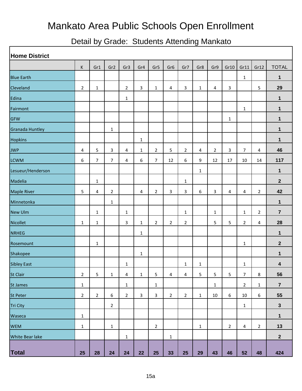## Mankato Area Public Schools Open Enrollment

## Detail by Grade: Students Attending Mankato

| <b>Home District</b>   |                |                |                 |                |              |                |                 |                |              |                |                |                         |                |                |
|------------------------|----------------|----------------|-----------------|----------------|--------------|----------------|-----------------|----------------|--------------|----------------|----------------|-------------------------|----------------|----------------|
|                        | K              | Gr1            | Gr <sub>2</sub> | Gr3            | Gr4          | Gr5            | Gr <sub>6</sub> | Gr7            | Gr8          | Gr9            | Gr10           | Gr11                    | Gr12           | <b>TOTAL</b>   |
| <b>Blue Earth</b>      |                |                |                 |                |              |                |                 |                |              |                |                | $\mathbf{1}$            |                | $\mathbf 1$    |
| Cleveland              | $\overline{2}$ | $\mathbf{1}$   |                 | $\overline{2}$ | $\mathbf{3}$ | $\mathbf{1}$   | 4               | 3              | $\mathbf{1}$ | 4              | 3              |                         | 5              | 29             |
| Edina                  |                |                |                 | $\mathbf{1}$   |              |                |                 |                |              |                |                |                         |                | 1              |
| Fairmont               |                |                |                 |                |              |                |                 |                |              |                |                | $\mathbf{1}$            |                | 1              |
| <b>GFW</b>             |                |                |                 |                |              |                |                 |                |              |                | 1              |                         |                | 1              |
| <b>Granada Huntley</b> |                |                | 1               |                |              |                |                 |                |              |                |                |                         |                | 1              |
| <b>Hopkins</b>         |                |                |                 |                | $\mathbf{1}$ |                |                 |                |              |                |                |                         |                | 1              |
| <b>JWP</b>             | 4              | 5              | 3               | 4              | $\mathbf{1}$ | $\overline{2}$ | 5               | $\overline{2}$ | 4            | $\overline{2}$ | 3              | $\overline{7}$          | 4              | 46             |
| <b>LCWM</b>            | 6              | $\overline{7}$ | 7               | 4              | 6            | $\overline{7}$ | 12              | 6              | 9            | 12             | 17             | 10                      | 14             | 117            |
| Lesueur/Henderson      |                |                |                 |                |              |                |                 |                | $\mathbf{1}$ |                |                |                         |                | 1              |
| Madelia                |                | 1              |                 |                |              |                |                 | $\mathbf{1}$   |              |                |                |                         |                | $\mathbf{2}$   |
| <b>Maple River</b>     | 5              | 4              | 2               |                | 4            | $\overline{2}$ | 3               | 3              | 6            | $\mathbf{3}$   | 4              | 4                       | $\overline{2}$ | 42             |
| Minnetonka             |                |                | 1               |                |              |                |                 |                |              |                |                |                         |                | $\mathbf 1$    |
| <b>New Ulm</b>         |                | 1              |                 | $\mathbf{1}$   |              |                |                 | $\mathbf{1}$   |              | $\mathbf{1}$   |                | 1                       | $\overline{2}$ | $\overline{7}$ |
| <b>Nicollet</b>        | $\mathbf{1}$   | 1              |                 | 3              | $\mathbf{1}$ | $\overline{2}$ | $\overline{2}$  | $\overline{2}$ |              | 5              | 5              | $\overline{2}$          | 4              | 28             |
| <b>NRHEG</b>           |                |                |                 |                | $\mathbf{1}$ |                |                 |                |              |                |                |                         |                | $\mathbf 1$    |
| Rosemount              |                | 1              |                 |                |              |                |                 |                |              |                |                | $\mathbf{1}$            |                | $\mathbf{2}$   |
| Shakopee               |                |                |                 |                | $\mathbf{1}$ |                |                 |                |              |                |                |                         |                | 1              |
| <b>Sibley East</b>     |                |                |                 | 1              |              |                |                 | $\mathbf{1}$   | 1            |                |                | 1                       |                | 4              |
| St Clair               | $\overline{2}$ | 5              | $\mathbf{1}$    | $\overline{4}$ | $\mathbf{1}$ | 5              | $\overline{4}$  | $\overline{4}$ | 5            | 5              | 5              | $\overline{7}$          | 8              | 56             |
| St James               | $\mathbf 1$    |                |                 | $\mathbf{1}$   |              | $\mathbf{1}$   |                 |                |              | $\mathbf 1$    |                | $\sqrt{2}$              | $\mathbf{1}$   | $\overline{7}$ |
| St Peter               | $\overline{2}$ | $\overline{2}$ | 6               | $\overline{2}$ | $\mathbf{3}$ | $\mathbf{3}$   | $\overline{2}$  | $\overline{2}$ | $\mathbf{1}$ | $10\,$         | 6              | $10\,$                  | 6              | 55             |
| Tri City               |                |                | $\sqrt{2}$      |                |              |                |                 |                |              |                |                | $\mathbf 1$             |                | $\mathbf 3$    |
| Waseca                 | $\mathbf 1$    |                |                 |                |              |                |                 |                |              |                |                |                         |                | $\mathbf{1}$   |
| <b>WEM</b>             | $\mathbf{1}$   |                | $\mathbf 1$     |                |              | $\overline{2}$ |                 |                | $\mathbf{1}$ |                | $\overline{2}$ | $\overline{\mathbf{4}}$ | $\overline{2}$ | 13             |
| White Bear lake        |                |                |                 | $\mathbf{1}$   |              |                | $\mathbf{1}$    |                |              |                |                |                         |                | $\mathbf{2}$   |
| Total                  | 25             | 28             | 24              | 24             | 22           | 25             | 33              | 25             | 29           | 43             | 46             | 52                      | 48             | 424            |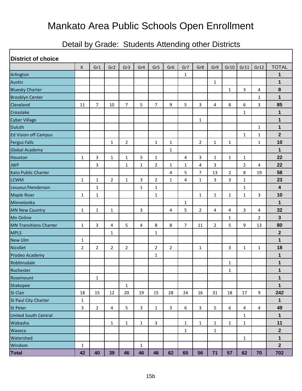# Mankato Area Public Schools Open Enrollment

## Detail by Grade: Students Attending other Districts

| <b>District of choice</b>     |                |                |                 |                |                |                |                 |                |                |                |                |              |              |                         |
|-------------------------------|----------------|----------------|-----------------|----------------|----------------|----------------|-----------------|----------------|----------------|----------------|----------------|--------------|--------------|-------------------------|
|                               | K              | Gr1            | Gr <sub>2</sub> | Gr3            | Gr4            | Gr5            | Gr <sub>6</sub> | Gr7            | Gr8            | Gr9            | Gr10           | Gr11         | Gr12         | <b>TOTAL</b>            |
| Arlington                     |                |                |                 |                |                |                |                 | 1              |                |                |                |              |              | 1                       |
| Austin                        |                |                |                 |                |                |                |                 |                |                | $\mathbf{1}$   |                |              |              | $\mathbf{1}$            |
| <b>Bluesky Charter</b>        |                |                |                 |                |                |                |                 |                |                |                | 1              | 3            | 4            | 8                       |
| <b>Brooklyn Center</b>        |                |                |                 |                |                |                |                 |                |                |                |                |              | 1            | $\mathbf{1}$            |
| Cleveland                     | 11             | $\overline{7}$ | 10              | $\overline{7}$ | 5              | $\overline{7}$ | 9               | 5              | 3              | 4              | 8              | 6            | 3            | 85                      |
| Crosslake                     |                |                |                 |                |                |                |                 |                |                |                |                | 1            |              | 1                       |
| <b>Cyber Village</b>          |                |                |                 |                |                |                |                 |                | 1              |                |                |              |              | 1                       |
| <b>Duluth</b>                 |                |                |                 |                |                |                |                 |                |                |                |                |              | $\mathbf{1}$ | $\mathbf 1$             |
| <b>Ed Vision off Campus</b>   |                |                |                 |                |                |                |                 |                |                |                |                | 1            | 1            | $\mathbf{2}$            |
| <b>Fergus Falls</b>           |                |                | $\mathbf{1}$    | $\overline{2}$ |                | $\mathbf{1}$   | $\mathbf{1}$    |                | $\overline{2}$ | $\mathbf{1}$   | $\mathbf{1}$   |              | $\mathbf{1}$ | 10                      |
| <b>Global Academy</b>         |                |                |                 |                |                |                | $\mathbf{1}$    |                |                |                |                |              |              | 1                       |
| Houston                       | $\mathbf 1$    | 3              | $\mathbf{1}$    | $\mathbf{1}$   | 5              | $\mathbf{1}$   |                 | 4              | 3              | $\mathbf{1}$   | $\mathbf{1}$   | 1            |              | 22                      |
| <b>JWP</b>                    |                | 3              |                 | $\mathbf{1}$   | 1              | $\overline{2}$ | 1               | 1              | 4              | 3              |                | 2            | 4            | 22                      |
| <b>Kato Public Charter</b>    |                |                |                 |                |                |                | 4               | 5              | $\overline{7}$ | 13             | $\overline{2}$ | 8            | 19           | 58                      |
| <b>LCWM</b>                   | $\mathbf{1}$   | $\mathbf{1}$   | $\overline{2}$  | $\mathbf{1}$   | 3              | $\overline{2}$ | 1               | 4              | $\mathbf{1}$   | 3              | 3              | 1            |              | 23                      |
| Lesueur/Henderson             |                | $\mathbf{1}$   |                 |                | 1              | 1              |                 |                |                |                |                | 1            |              | $\overline{\mathbf{4}}$ |
| <b>Maple River</b>            | $\mathbf{1}$   | $\mathbf{1}$   |                 |                |                | $\mathbf{1}$   |                 |                | $\mathbf{1}$   | $\mathbf{1}$   | $\mathbf{1}$   | $\mathbf{1}$ | $\mathbf{3}$ | 10                      |
| Minnetonka                    |                |                |                 |                |                |                |                 | $\mathbf 1$    |                |                |                |              |              | 1                       |
| <b>MN New Country</b>         | $\mathbf{1}$   | $\mathbf{1}$   | $\mathbf{1}$    |                | 3              |                | 4               | 5              | $\overline{2}$ | 4              | 4              | 3            | 4            | 32                      |
| Mn Online                     |                |                |                 |                |                |                |                 |                |                |                | 1              |              | 2            | 3                       |
| <b>MN Transitions Charter</b> | $\mathbf{1}$   | 3              | 4               | 5              | $\overline{4}$ | 8              | 8               | $\overline{7}$ | 11             | $\overline{2}$ | 5              | 9            | 13           | 80                      |
| <b>MPLS</b>                   |                |                | 1               |                |                | 1              |                 |                |                |                |                |              |              | $\mathbf{2}$            |
| <b>New Ulm</b>                | $\mathbf{1}$   |                |                 |                |                |                |                 |                |                |                |                |              |              | 1                       |
| Nicollet                      | $\overline{2}$ | 2              | $\overline{2}$  | $\overline{2}$ |                | $\overline{2}$ | $\overline{2}$  |                | 1              |                | 3              | 1            | $\mathbf{1}$ | 18                      |
| Prodeo Academy                |                |                |                 |                |                | 1              |                 |                |                |                |                |              |              | 1                       |
| Robbinsdale                   |                |                |                 |                |                |                |                 |                |                |                | 1              |              |              | 1                       |
| Rochester                     |                |                |                 |                |                |                |                 |                |                |                | 1              |              |              | $\mathbf{1}$            |
| Rosemount                     |                | 1              |                 |                |                |                |                 |                |                |                |                |              |              | $\mathbf 1$             |
| Shakopee                      |                |                |                 | $\mathbf{1}$   |                |                |                 |                |                |                |                |              |              | 1                       |
| St Clair                      | 18             | 15             | 12              | 20             | 19             | 15             | 28              | 24             | 16             | 31             | 18             | 17           | 9            | 242                     |
| St Paul City Charter          | $\mathbf{1}$   |                |                 |                |                |                |                 |                |                |                |                |              |              | $\mathbf 1$             |
| St Peter                      | 3              | $\overline{2}$ | 4               | 5              | $\mathbf{3}$   | $\mathbf{1}$   | 3               | 6              | 3              | 5              | 6              | 4            | 4            | 49                      |
| <b>United South Central</b>   |                |                |                 |                |                |                |                 |                |                |                |                | 1            |              | $\mathbf 1$             |
| Wabasha                       |                |                | $\mathbf{1}$    | $\mathbf{1}$   | $\mathbf{1}$   | 3              |                 | $\mathbf 1$    | $\mathbf{1}$   | 1              | $\mathbf{1}$   | $\mathbf{1}$ |              | 11                      |
| Waseca                        |                |                |                 |                |                |                |                 | 1              |                | 1              |                |              |              | $\mathbf 2$             |
| Watershed                     |                |                |                 |                |                |                |                 |                |                |                |                | 1            |              | 1                       |
| Windom                        | $\mathbf{1}$   |                |                 |                | 1              |                |                 |                |                |                |                |              |              | $\mathbf{2}$            |
| Total                         | 42             | 40             | 39              | 46             | 46             | 46             | 62              | 65             | 56             | 71             | 57             | 62           | 70           | 702                     |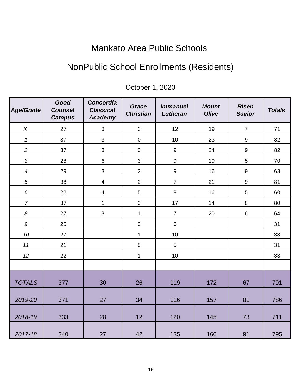## Mankato Area Public Schools

## NonPublic School Enrollments (Residents)

| <b>Age/Grade</b>         | Good<br><b>Counsel</b><br><b>Campus</b> | <b>Concordia</b><br><b>Classical</b><br>Academy | Grace<br><b>Christian</b> | <b>Immanuel</b><br>Lutheran | <b>Mount</b><br><b>Olive</b> | <b>Risen</b><br><b>Savior</b> | <b>Totals</b> |
|--------------------------|-----------------------------------------|-------------------------------------------------|---------------------------|-----------------------------|------------------------------|-------------------------------|---------------|
| $\kappa$                 | 27                                      | $\mathfrak{S}$                                  | 3                         | 12                          | 19                           | $\overline{7}$                | 71            |
| $\mathbf 1$              | 37                                      | 3                                               | $\pmb{0}$                 | $10$                        | 23                           | $\boldsymbol{9}$              | 82            |
| $\overline{c}$           | 37                                      | 3                                               | $\pmb{0}$                 | $\boldsymbol{9}$            | 24                           | $\boldsymbol{9}$              | 82            |
| $\mathfrak{S}$           | 28                                      | 6                                               | 3                         | $\boldsymbol{9}$            | 19                           | $\overline{5}$                | 70            |
| $\overline{\mathcal{A}}$ | 29                                      | 3                                               | $\overline{2}$            | $\boldsymbol{9}$            | 16                           | $\boldsymbol{9}$              | 68            |
| 5                        | 38                                      | $\overline{\mathbf{4}}$                         | $\overline{2}$            | $\overline{7}$              | 21                           | $\boldsymbol{9}$              | 81            |
| $\boldsymbol{6}$         | 22                                      | $\overline{\mathbf{4}}$                         | 5                         | 8                           | 16                           | 5                             | 60            |
| $\boldsymbol{7}$         | 37                                      | $\mathbf 1$                                     | $\mathbf{3}$              | 17                          | 14                           | $\,8\,$                       | 80            |
| $\boldsymbol{8}$         | 27                                      | 3                                               | $\mathbf{1}$              | $\overline{7}$              | 20                           | $\,6\,$                       | 64            |
| $\boldsymbol{9}$         | 25                                      |                                                 | $\pmb{0}$                 | $\,6\,$                     |                              |                               | 31            |
| 10                       | 27                                      |                                                 | $\mathbf{1}$              | 10                          |                              |                               | 38            |
| 11                       | 21                                      |                                                 | $\sqrt{5}$                | $\overline{5}$              |                              |                               | 31            |
| 12                       | 22                                      |                                                 | $\mathbf{1}$              | $10$                        |                              |                               | 33            |
|                          |                                         |                                                 |                           |                             |                              |                               |               |
| <b>TOTALS</b>            | 377                                     | 30                                              | 26                        | 119                         | 172                          | 67                            | 791           |
| 2019-20                  | 371                                     | 27                                              | 34                        | 116                         | 157                          | 81                            | 786           |
| 2018-19                  | 333                                     | 28                                              | 12                        | 120                         | 145                          | 73                            | 711           |
| 2017-18                  | 340                                     | 27                                              | 42                        | 135                         | 160                          | 91                            | 795           |

### October 1, 2020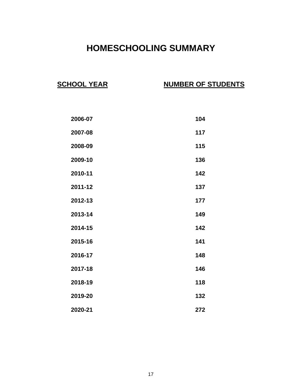## **HOMESCHOOLING SUMMARY**

#### **SCHOOL YEAR NUMBER OF STUDENTS**

| 2006-07 | 104 |
|---------|-----|
| 2007-08 | 117 |
| 2008-09 | 115 |
| 2009-10 | 136 |
| 2010-11 | 142 |
| 2011-12 | 137 |
| 2012-13 | 177 |
| 2013-14 | 149 |
| 2014-15 | 142 |
| 2015-16 | 141 |
| 2016-17 | 148 |
| 2017-18 | 146 |
| 2018-19 | 118 |
| 2019-20 | 132 |
| 2020-21 | 272 |